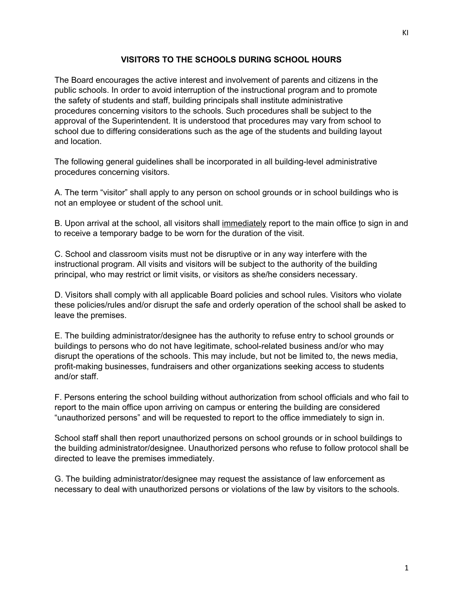## **VISITORS TO THE SCHOOLS DURING SCHOOL HOURS**

The Board encourages the active interest and involvement of parents and citizens in the public schools. In order to avoid interruption of the instructional program and to promote the safety of students and staff, building principals shall institute administrative procedures concerning visitors to the schools. Such procedures shall be subject to the approval of the Superintendent. It is understood that procedures may vary from school to school due to differing considerations such as the age of the students and building layout and location.

The following general guidelines shall be incorporated in all building-level administrative procedures concerning visitors.

A. The term "visitor" shall apply to any person on school grounds or in school buildings who is not an employee or student of the school unit.

B. Upon arrival at the school, all visitors shall immediately report to the main office to sign in and to receive a temporary badge to be worn for the duration of the visit.

C. School and classroom visits must not be disruptive or in any way interfere with the instructional program. All visits and visitors will be subject to the authority of the building principal, who may restrict or limit visits, or visitors as she/he considers necessary.

D. Visitors shall comply with all applicable Board policies and school rules. Visitors who violate these policies/rules and/or disrupt the safe and orderly operation of the school shall be asked to leave the premises.

E. The building administrator/designee has the authority to refuse entry to school grounds or buildings to persons who do not have legitimate, school-related business and/or who may disrupt the operations of the schools. This may include, but not be limited to, the news media, profit-making businesses, fundraisers and other organizations seeking access to students and/or staff.

F. Persons entering the school building without authorization from school officials and who fail to report to the main office upon arriving on campus or entering the building are considered "unauthorized persons" and will be requested to report to the office immediately to sign in.

School staff shall then report unauthorized persons on school grounds or in school buildings to the building administrator/designee. Unauthorized persons who refuse to follow protocol shall be directed to leave the premises immediately.

G. The building administrator/designee may request the assistance of law enforcement as necessary to deal with unauthorized persons or violations of the law by visitors to the schools.